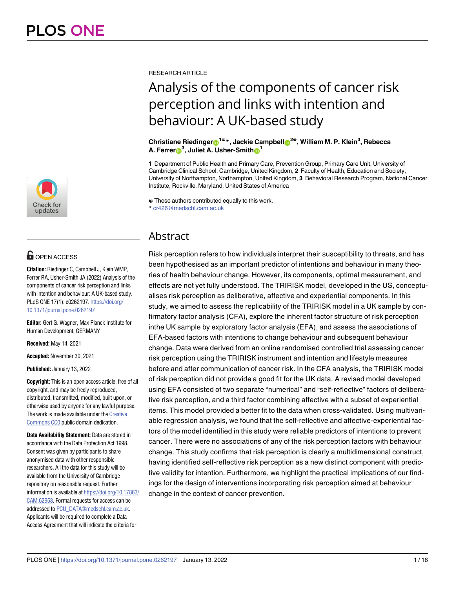

# **OPEN ACCESS**

**Citation:** Riedinger C, Campbell J, Klein WMP, Ferrer RA, Usher-Smith JA (2022) Analysis of the components of cancer risk perception and links with intention and behaviour: A UK-based study. PLoS ONE 17(1): e0262197. [https://doi.org/](https://doi.org/10.1371/journal.pone.0262197) [10.1371/journal.pone.0262197](https://doi.org/10.1371/journal.pone.0262197)

**Editor:** Gert G. Wagner, Max Planck Institute for Human Development, GERMANY

**Received:** May 14, 2021

**Accepted:** November 30, 2021

**Published:** January 13, 2022

**Copyright:** This is an open access article, free of all copyright, and may be freely reproduced, distributed, transmitted, modified, built upon, or otherwise used by anyone for any lawful purpose. The work is made available under the [Creative](https://creativecommons.org/publicdomain/zero/1.0/) [Commons](https://creativecommons.org/publicdomain/zero/1.0/) CC0 public domain dedication.

**Data Availability Statement:** Data are stored in accordance with the Data Protection Act 1998. Consent was given by participants to share anonymised data with other responsible researchers. All the data for this study will be available from the University of Cambridge repository on reasonable request. Further information is available at [https://doi.org/10.17863/](https://doi.org/10.17863/CAM.62953) [CAM.62953](https://doi.org/10.17863/CAM.62953). Formal requests for access can be addressed to [PCU\\_DATA@medschl.cam.ac.uk](mailto:PCU_DATA@medschl.cam.ac.uk). Applicants will be required to complete a Data Access Agreement that will indicate the criteria for

RESEARCH ARTICLE

# Analysis of the components of cancer risk perception and links with intention and behaviour: A UK-based study

**Christiane Riedinger[ID1](https://orcid.org/0000-0002-9310-9894)**☯**\*, Jackie Campbell[ID2](https://orcid.org/0000-0002-1456-7994)**☯**, William M. P. Klein3 , Rebecca**  $\blacksquare$  **A.** Ferrer $\blacksquare^3$ , Juliet A. Usher-Smith $\blacksquare^1$ 

**1** Department of Public Health and Primary Care, Prevention Group, Primary Care Unit, University of Cambridge Clinical School, Cambridge, United Kingdom, **2** Faculty of Health, Education and Society, University of Northampton, Northampton, United Kingdom, **3** Behavioral Research Program, National Cancer Institute, Rockville, Maryland, United States of America

☯ These authors contributed equally to this work. \* cr426@medschl.cam.ac.uk

## Abstract

Risk perception refers to how individuals interpret their susceptibility to threats, and has been hypothesised as an important predictor of intentions and behaviour in many theories of health behaviour change. However, its components, optimal measurement, and effects are not yet fully understood. The TRIRISK model, developed in the US, conceptualises risk perception as deliberative, affective and experiential components. In this study, we aimed to assess the replicability of the TRIRISK model in a UK sample by confirmatory factor analysis (CFA), explore the inherent factor structure of risk perception inthe UK sample by exploratory factor analysis (EFA), and assess the associations of EFA-based factors with intentions to change behaviour and subsequent behaviour change. Data were derived from an online randomised controlled trial assessing cancer risk perception using the TRIRISK instrument and intention and lifestyle measures before and after communication of cancer risk. In the CFA analysis, the TRIRISK model of risk perception did not provide a good fit for the UK data. A revised model developed using EFA consisted of two separate "numerical" and "self-reflective" factors of deliberative risk perception, and a third factor combining affective with a subset of experiential items. This model provided a better fit to the data when cross-validated. Using multivariable regression analysis, we found that the self-reflective and affective-experiential factors of the model identified in this study were reliable predictors of intentions to prevent cancer. There were no associations of any of the risk perception factors with behaviour change. This study confirms that risk perception is clearly a multidimensional construct, having identified self-reflective risk perception as a new distinct component with predictive validity for intention. Furthermore, we highlight the practical implications of our findings for the design of interventions incorporating risk perception aimed at behaviour change in the context of cancer prevention.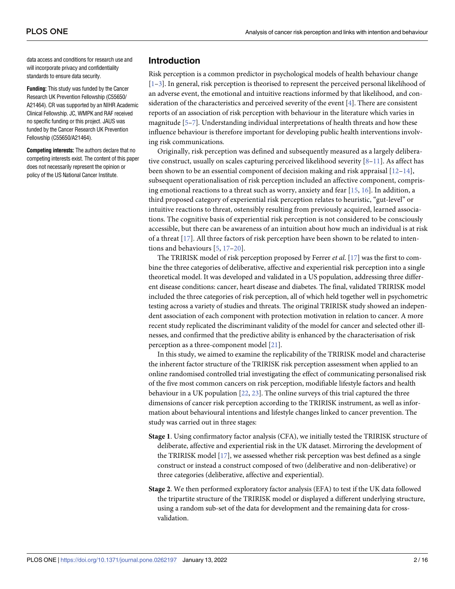<span id="page-1-0"></span>data access and conditions for research use and will incorporate privacy and confidentiality standards to ensure data security.

**Funding:** This study was funded by the Cancer Research UK Prevention Fellowship (C55650/ A21464). CR was supported by an NIHR Academic Clinical Fellowship. JC, WMPK and RAF received no specific funding or this project. JAUS was funded by the Cancer Research UK Prevention Fellowship (C55650/A21464).

**Competing interests:** The authors declare that no competing interests exist. The content of this paper does not necessarily represent the opinion or policy of the US National Cancer Institute.

### **Introduction**

Risk perception is a common predictor in psychological models of health behaviour change [\[1–3](#page-13-0)]. In general, risk perception is theorised to represent the perceived personal likelihood of an adverse event, the emotional and intuitive reactions informed by that likelihood, and consideration of the characteristics and perceived severity of the event [[4](#page-13-0)]. There are consistent reports of an association of risk perception with behaviour in the literature which varies in magnitude [[5](#page-13-0)–[7](#page-13-0)]. Understanding individual interpretations of health threats and how these influence behaviour is therefore important for developing public health interventions involving risk communications.

Originally, risk perception was defined and subsequently measured as a largely deliberative construct, usually on scales capturing perceived likelihood severity  $[8-11]$ . As affect has been shown to be an essential component of decision making and risk appraisal  $[12-14]$ , subsequent operationalisation of risk perception included an affective component, comprising emotional reactions to a threat such as worry, anxiety and fear [\[15,](#page-13-0) [16](#page-13-0)]. In addition, a third proposed category of experiential risk perception relates to heuristic, "gut-level" or intuitive reactions to threat, ostensibly resulting from previously acquired, learned associations. The cognitive basis of experiential risk perception is not considered to be consciously accessible, but there can be awareness of an intuition about how much an individual is at risk of a threat [[17](#page-13-0)]. All three factors of risk perception have been shown to be related to intentions and behaviours [\[5](#page-13-0), [17–](#page-13-0)[20](#page-14-0)].

The TRIRISK model of risk perception proposed by Ferrer *et al*. [[17](#page-13-0)] was the first to combine the three categories of deliberative, affective and experiential risk perception into a single theoretical model. It was developed and validated in a US population, addressing three different disease conditions: cancer, heart disease and diabetes. The final, validated TRIRISK model included the three categories of risk perception, all of which held together well in psychometric testing across a variety of studies and threats. The original TRIRISK study showed an independent association of each component with protection motivation in relation to cancer. A more recent study replicated the discriminant validity of the model for cancer and selected other illnesses, and confirmed that the predictive ability is enhanced by the characterisation of risk perception as a three-component model [[21](#page-14-0)].

In this study, we aimed to examine the replicability of the TRIRISK model and characterise the inherent factor structure of the TRIRISK risk perception assessment when applied to an online randomised controlled trial investigating the effect of communicating personalised risk of the five most common cancers on risk perception, modifiable lifestyle factors and health behaviour in a UK population [[22](#page-14-0), [23](#page-14-0)]. The online surveys of this trial captured the three dimensions of cancer risk perception according to the TRIRISK instrument, as well as information about behavioural intentions and lifestyle changes linked to cancer prevention. The study was carried out in three stages:

- **Stage 1**. Using confirmatory factor analysis (CFA), we initially tested the TRIRISK structure of deliberate, affective and experiential risk in the UK dataset. Mirroring the development of the TRIRISK model [[17](#page-13-0)], we assessed whether risk perception was best defined as a single construct or instead a construct composed of two (deliberative and non-deliberative) or three categories (deliberative, affective and experiential).
- **Stage 2**. We then performed exploratory factor analysis (EFA) to test if the UK data followed the tripartite structure of the TRIRISK model or displayed a different underlying structure, using a random sub-set of the data for development and the remaining data for crossvalidation.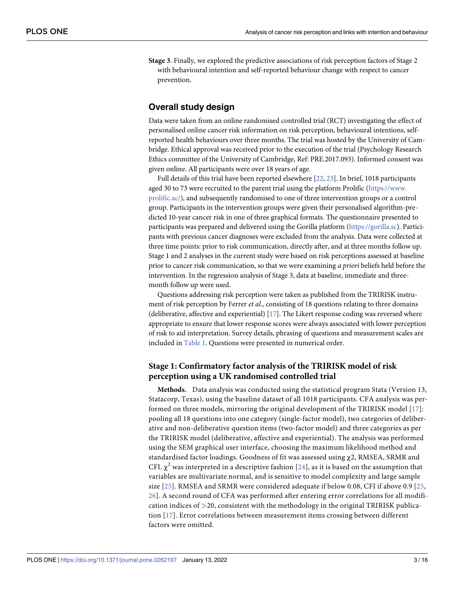<span id="page-2-0"></span>**Stage 3**. Finally, we explored the predictive associations of risk perception factors of Stage 2 with behavioural intention and self-reported behaviour change with respect to cancer prevention.

### **Overall study design**

Data were taken from an online randomised controlled trial (RCT) investigating the effect of personalised online cancer risk information on risk perception, behavioural intentions, selfreported health behaviours over three months. The trial was hosted by the University of Cambridge. Ethical approval was received prior to the execution of the trial (Psychology Research Ethics committee of the University of Cambridge, Ref: PRE.2017.093). Informed consent was given online. All participants were over 18 years of age.

Full details of this trial have been reported elsewhere [[22](#page-14-0), [23](#page-14-0)]. In brief, 1018 participants aged 30 to 73 were recruited to the parent trial using the platform Prolific [\(https://www.](https://www.prolific.ac/) [prolific.ac/\)](https://www.prolific.ac/), and subsequently randomised to one of three intervention groups or a control group. Participants in the intervention groups were given their personalised algorithm-predicted 10-year cancer risk in one of three graphical formats. The questionnaire presented to participants was prepared and delivered using the Gorilla platform (<https://gorilla.sc>). Participants with previous cancer diagnoses were excluded from the analysis. Data were collected at three time points: prior to risk communication, directly after, and at three months follow up. Stage 1 and 2 analyses in the current study were based on risk perceptions assessed at baseline prior to cancer risk communication, so that we were examining *a priori* beliefs held before the intervention. In the regression analysis of Stage 3, data at baseline, immediate and threemonth follow up were used.

Questions addressing risk perception were taken as published from the TRIRISK instrument of risk perception by Ferrer *et al*., consisting of 18 questions relating to three domains (deliberative, affective and experiential) [[17](#page-13-0)]. The Likert response coding was reversed where appropriate to ensure that lower response scores were always associated with lower perception of risk to aid interpretation. Survey details, phrasing of questions and measurement scales are included in [Table](#page-3-0) 1. Questions were presented in numerical order.

### **Stage 1: Confirmatory factor analysis of the TRIRISK model of risk perception using a UK randomised controlled trial**

**Methods.** Data analysis was conducted using the statistical program Stata (Version 13, Statacorp, Texas), using the baseline dataset of all 1018 participants. CFA analysis was performed on three models, mirroring the original development of the TRIRISK model [\[17](#page-13-0)]: pooling all 18 questions into one category (single-factor model), two categories of deliberative and non-deliberative question items (two-factor model) and three categories as per the TRIRISK model (deliberative, affective and experiential). The analysis was performed using the SEM graphical user interface, choosing the maximum likelihood method and standardised factor loadings. Goodness of fit was assessed using χ2, RMSEA, SRMR and CFI.  $\chi^2$  was interpreted in a descriptive fashion [[24](#page-14-0)], as it is based on the assumption that variables are multivariate normal, and is sensitive to model complexity and large sample size [\[25](#page-14-0)]. RMSEA and SRMR were considered adequate if below 0.08, CFI if above 0.9 [[25,](#page-14-0) [26\]](#page-14-0). A second round of CFA was performed after entering error correlations for all modification indices of *>*20, consistent with the methodology in the original TRIRISK publication [[17\]](#page-13-0). Error correlations between measurement items crossing between different factors were omitted.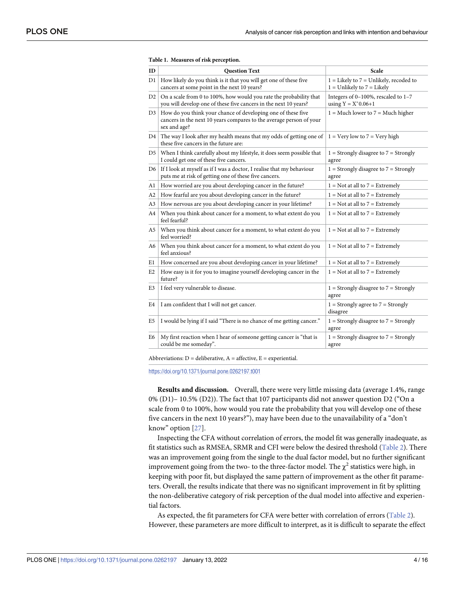| ID  | <b>Question Text</b>                                                                                                                                     | Scale                                                                        |
|-----|----------------------------------------------------------------------------------------------------------------------------------------------------------|------------------------------------------------------------------------------|
| D1. | How likely do you think is it that you will get one of these five<br>cancers at some point in the next 10 years?                                         | $1 =$ Likely to $7 =$ Unlikely, recoded to<br>$1 =$ Unlikely to $7 =$ Likely |
| D2  | On a scale from 0 to 100%, how would you rate the probability that<br>you will develop one of these five cancers in the next 10 years?                   | Integers of $0-100\%$ , rescaled to $1-7$<br>using $Y = X^*0.06 + 1$         |
|     | D3   How do you think your chance of developing one of these five<br>cancers in the next 10 years compares to the average person of your<br>sex and age? | $1 = Much lower to 7 = Much higher$                                          |
|     | D4   The way I look after my health means that my odds of getting one of<br>these five cancers in the future are:                                        | $1 = \text{Very}$ low to $7 = \text{Very}$ high                              |
| D5  | When I think carefully about my lifestyle, it does seem possible that<br>I could get one of these five cancers.                                          | $1 =$ Strongly disagree to $7 =$ Strongly<br>agree                           |
| D6  | If I look at myself as if I was a doctor, I realise that my behaviour<br>puts me at risk of getting one of these five cancers.                           | $1 =$ Strongly disagree to $7 =$ Strongly<br>agree                           |
| Al  | How worried are you about developing cancer in the future?                                                                                               | $1 = Not$ at all to $7 = Extremely$                                          |
| A2  | How fearful are you about developing cancer in the future?                                                                                               | $1 = Not$ at all to $7 = Extremely$                                          |
| A3  | How nervous are you about developing cancer in your lifetime?                                                                                            | $1 = Not$ at all to $7 = Extract$                                            |
| A4  | When you think about cancer for a moment, to what extent do you<br>feel fearful?                                                                         | $1 =$ Not at all to $7 =$ Extremely                                          |
| A5  | When you think about cancer for a moment, to what extent do you<br>feel worried?                                                                         | $1 = Not$ at all to $7 = Extremely$                                          |
| A6  | When you think about cancer for a moment, to what extent do you<br>feel anxious?                                                                         | $1 = Not$ at all to $7 = Extremely$                                          |
| E1  | How concerned are you about developing cancer in your lifetime?                                                                                          | $1 = Not$ at all to $7 = Extremely$                                          |
| E2  | How easy is it for you to imagine yourself developing cancer in the<br>future?                                                                           | $1 = Not$ at all to $7 = Extract$                                            |
| E3  | I feel very vulnerable to disease.                                                                                                                       | $1 =$ Strongly disagree to $7 =$ Strongly<br>agree                           |
| E4  | I am confident that I will not get cancer.                                                                                                               | $1 =$ Strongly agree to $7 =$ Strongly<br>disagree                           |
| E5  | I would be lying if I said "There is no chance of me getting cancer."                                                                                    | $1 =$ Strongly disagree to $7 =$ Strongly<br>agree                           |
| E6  | My first reaction when I hear of someone getting cancer is "that is<br>could be me someday".                                                             | $1 =$ Strongly disagree to $7 =$ Strongly<br>agree                           |

#### <span id="page-3-0"></span>**[Table](#page-2-0) 1. Measures of risk perception.**

Abbreviations:  $D =$  deliberative,  $A =$  affective,  $E =$  experiential.

<https://doi.org/10.1371/journal.pone.0262197.t001>

**Results and discussion.** Overall, there were very little missing data (average 1.4%, range 0% (D1)– 10.5% (D2)). The fact that 107 participants did not answer question D2 ("On a scale from 0 to 100%, how would you rate the probability that you will develop one of these five cancers in the next 10 years?"), may have been due to the unavailability of a "don't know" option [[27](#page-14-0)].

Inspecting the CFA without correlation of errors, the model fit was generally inadequate, as fit statistics such as RMSEA, SRMR and CFI were below the desired threshold ([Table](#page-4-0) 2). There was an improvement going from the single to the dual factor model, but no further significant improvement going from the two- to the three-factor model. The  $\chi^2$  statistics were high, in keeping with poor fit, but displayed the same pattern of improvement as the other fit parameters. Overall, the results indicate that there was no significant improvement in fit by splitting the non-deliberative category of risk perception of the dual model into affective and experiential factors.

As expected, the fit parameters for CFA were better with correlation of errors ([Table](#page-4-0) 2). However, these parameters are more difficult to interpret, as it is difficult to separate the effect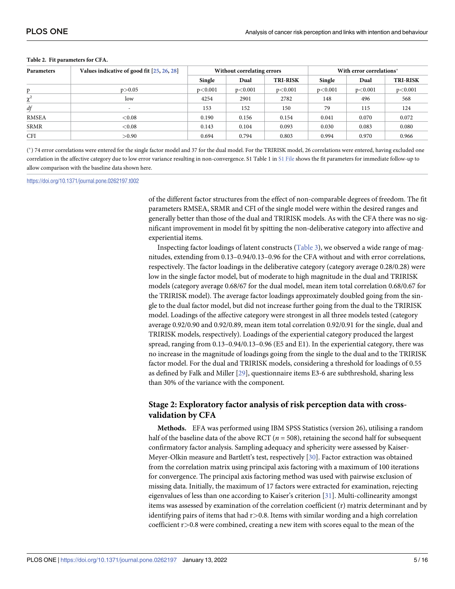| <b>Parameters</b>    | Values indicative of good fit [25, 26, 28] | Without correlating errors |         |                 | With error correlations* |         |                 |  |
|----------------------|--------------------------------------------|----------------------------|---------|-----------------|--------------------------|---------|-----------------|--|
|                      |                                            | Single                     | Dual    | <b>TRI-RISK</b> | Single                   | Dual    | <b>TRI-RISK</b> |  |
| p.                   | p > 0.05                                   | p<0.001                    | p<0.001 | p<0.001         | p<0.001                  | p<0.001 | p<0.001         |  |
| $\mathbf{v}^2$<br>v. | low                                        | 4254                       | 2901    | 2782            | 148                      | 496     | 568             |  |
| df                   |                                            | 153                        | 152     | 150             | 79                       | 115     | 124             |  |
| RMSEA                | < 0.08                                     | 0.190                      | 0.156   | 0.154           | 0.041                    | 0.070   | 0.072           |  |
| <b>SRMR</b>          | < 0.08                                     | 0.143                      | 0.104   | 0.093           | 0.030                    | 0.083   | 0.080           |  |
| <b>CFI</b>           | >0.90                                      | 0.694                      | 0.794   | 0.803           | 0.994                    | 0.970   | 0.966           |  |

#### <span id="page-4-0"></span>**[Table](#page-3-0) 2. Fit parameters for CFA.**

( �) 74 error correlations were entered for the single factor model and 37 for the dual model. For the TRIRISK model, 26 correlations were entered, having excluded one correlation in the affective category due to low error variance resulting in non-convergence. S1 Table 1 in S1 [File](#page-12-0) shows the fit parameters for immediate follow-up to allow comparison with the baseline data shown here.

<https://doi.org/10.1371/journal.pone.0262197.t002>

of the different factor structures from the effect of non-comparable degrees of freedom. The fit parameters RMSEA, SRMR and CFI of the single model were within the desired ranges and generally better than those of the dual and TRIRISK models. As with the CFA there was no significant improvement in model fit by spitting the non-deliberative category into affective and experiential items.

Inspecting factor loadings of latent constructs ([Table](#page-5-0) 3), we observed a wide range of magnitudes, extending from 0.13–0.94/0.13–0.96 for the CFA without and with error correlations, respectively. The factor loadings in the deliberative category (category average 0.28/0.28) were low in the single factor model, but of moderate to high magnitude in the dual and TRIRISK models (category average 0.68/67 for the dual model, mean item total correlation 0.68/0.67 for the TRIRISK model). The average factor loadings approximately doubled going from the single to the dual factor model, but did not increase further going from the dual to the TRIRISK model. Loadings of the affective category were strongest in all three models tested (category average 0.92/0.90 and 0.92/0.89, mean item total correlation 0.92/0.91 for the single, dual and TRIRISK models, respectively). Loadings of the experiential category produced the largest spread, ranging from 0.13–0.94/0.13–0.96 (E5 and E1). In the experiential category, there was no increase in the magnitude of loadings going from the single to the dual and to the TRIRISK factor model. For the dual and TRIRISK models, considering a threshold for loadings of 0.55 as defined by Falk and Miller [[29](#page-14-0)], questionnaire items E3-6 are subthreshold, sharing less than 30% of the variance with the component.

### **Stage 2: Exploratory factor analysis of risk perception data with crossvalidation by CFA**

**Methods.** EFA was performed using IBM SPSS Statistics (version 26), utilising a random half of the baseline data of the above RCT ( $n = 508$ ), retaining the second half for subsequent confirmatory factor analysis. Sampling adequacy and sphericity were assessed by Kaiser-Meyer-Olkin measure and Bartlett's test, respectively [[30\]](#page-14-0). Factor extraction was obtained from the correlation matrix using principal axis factoring with a maximum of 100 iterations for convergence. The principal axis factoring method was used with pairwise exclusion of missing data. Initially, the maximum of 17 factors were extracted for examination, rejecting eigenvalues of less than one according to Kaiser's criterion [\[31\]](#page-14-0). Multi-collinearity amongst items was assessed by examination of the correlation coefficient (r) matrix determinant and by identifying pairs of items that had r*>*0.8. Items with similar wording and a high correlation coefficient r*>*0.8 were combined, creating a new item with scores equal to the mean of the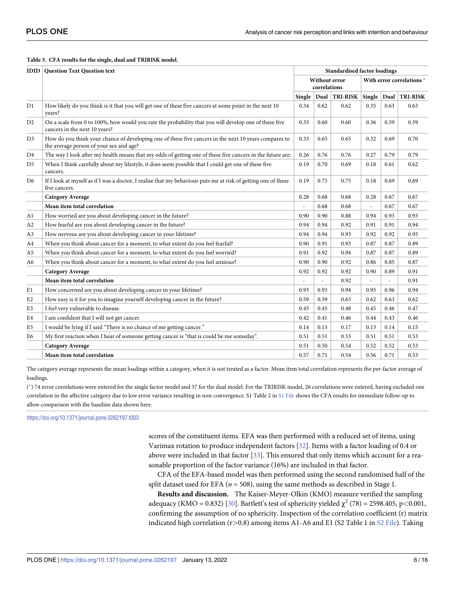#### <span id="page-5-0"></span>**[Table](#page-4-0) 3. CFA results for the single, dual and TRIRISK model.**

|                | <b>IDID</b> Question Text Question text                                                                                                          |                               |                          |                 | <b>Standardised factor loadings</b> |                           |                 |  |
|----------------|--------------------------------------------------------------------------------------------------------------------------------------------------|-------------------------------|--------------------------|-----------------|-------------------------------------|---------------------------|-----------------|--|
|                |                                                                                                                                                  | Without error<br>correlations |                          |                 |                                     | With error correlations * |                 |  |
|                |                                                                                                                                                  | Single $\vert$ Dual           |                          | <b>TRI-RISK</b> | Single   Dual                       |                           | <b>TRI-RISK</b> |  |
| D1             | How likely do you think is it that you will get one of these five cancers at some point in the next 10<br>vears?                                 | 0.34                          | 0.62                     | 0.62            | 0.35                                | 0.63                      | 0.63            |  |
| D <sub>2</sub> | On a scale from 0 to 100%, how would you rate the probability that you will develop one of these five<br>cancers in the next 10 years?           | 0.35                          | 0.60                     | 0.60            | 0.36                                | 0.59                      | 0.59            |  |
| D <sub>3</sub> | How do you think your chance of developing one of these five cancers in the next 10 years compares to<br>the average person of your sex and age? | 0.33                          | 0.65                     | 0.65            | 0.32                                | 0.69                      | 0.70            |  |
| D4             | The way I look after my health means that my odds of getting one of these five cancers in the future are:                                        | 0.26                          | 0.76                     | 0.76            | 0.27                                | 0.79                      | 0.79            |  |
| D <sub>5</sub> | When I think carefully about my lifestyle, it does seem possible that I could get one of these five<br>cancers.                                  | 0.19                          | 0.70                     | 0.69            | 0.18                                | 0.61                      | 0.62            |  |
| D <sub>6</sub> | If I look at myself as if I was a doctor, I realise that my behaviour puts me at risk of getting one of these<br>five cancers.                   | 0.19                          | 0.75                     | 0.75            | 0.18                                | 0.69                      | 0.69            |  |
|                | <b>Category Average</b>                                                                                                                          | 0.28                          | 0.68                     | 0.68            | 0.28                                | 0.67                      | 0.67            |  |
|                | Mean item total correlation                                                                                                                      |                               | 0.68                     | 0.68            | $\sim$                              | 0.67                      | 0.67            |  |
| Al             | How worried are you about developing cancer in the future?                                                                                       | 0.90                          | 0.90                     | 0.88            | 0.94                                | 0.93                      | 0.93            |  |
| A2             | How fearful are you about developing cancer in the future?                                                                                       | 0.94                          | 0.94                     | 0.92            | 0.91                                | 0.91                      | 0.94            |  |
| A3             | How nervous are you about developing cancer in your lifetime?                                                                                    | 0.94                          | 0.94                     | 0.93            | 0.92                                | 0.92                      | 0.95            |  |
| A4             | When you think about cancer for a moment, to what extent do you feel fearful?                                                                    | 0.90                          | 0.91                     | 0.93            | 0.87                                | 0.87                      | 0.89            |  |
| A <sub>5</sub> | When you think about cancer for a moment, to what extent do you feel worried?                                                                    | 0.91                          | 0.92                     | 0.94            | 0.87                                | 0.87                      | 0.89            |  |
| A6             | When you think about cancer for a moment, to what extent do you feel anxious?                                                                    | 0.90                          | 0.90                     | 0.92            | 0.86                                | 0.85                      | 0.87            |  |
|                | <b>Category Average</b>                                                                                                                          | 0.92                          | 0.92                     | 0.92            | 0.90                                | 0.89                      | 0.91            |  |
|                | Mean item total correlation                                                                                                                      | $\overline{a}$                | $\overline{\phantom{a}}$ | 0.92            | $\overline{\phantom{a}}$            | $\overline{\phantom{a}}$  | 0.91            |  |
| E1             | How concerned are you about developing cancer in your lifetime?                                                                                  | 0.93                          | 0.93                     | 0.94            | 0.95                                | 0.96                      | 0.94            |  |
| E <sub>2</sub> | How easy is it for you to imagine yourself developing cancer in the future?                                                                      | 0.59                          | 0.59                     | 0.63            | 0.62                                | 0.63                      | 0.62            |  |
| E3             | I feel very vulnerable to disease.                                                                                                               | 0.45                          | 0.45                     | 0.48            | 0.45                                | 0.46                      | 0.47            |  |
| E4             | I am confident that I will not get cancer.                                                                                                       | 0.42                          | 0.41                     | 0.46            | 0.44                                | 0.43                      | 0.46            |  |
| E <sub>5</sub> | I would be lying if I said "There is no chance of me getting cancer."                                                                            | 0.14                          | 0.13                     | 0.17            | 0.13                                | 0.14                      | 0.15            |  |
| E6             | My first reaction when I hear of someone getting cancer is "that is could be me someday".                                                        | 0.51                          | 0.51                     | 0.53            | 0.51                                | 0.51                      | 0.53            |  |
|                | <b>Category Average</b>                                                                                                                          | 0.51                          | 0.50                     | 0.54            | 0.52                                | 0.52                      | 0.53            |  |
|                | Mean item total correlation                                                                                                                      | 0.57                          | 0.71                     | 0.54            | 0.56                                | 0.71                      | 0.53            |  |

The category average represents the mean loadings within a category, when it is not treated as a factor. Mean item total correlation represents the per-factor average of loadings.

( �) 74 error correlations were entered for the single factor model and 37 for the dual model. For the TRIRISK model, 26 correlations were entered, having excluded one correlation in the affective category due to low error variance resulting in non-convergence. S1 Table 2 in S1 [File](#page-12-0) shows the CFA results for immediate follow-up to allow comparison with the baseline data shown here.

<https://doi.org/10.1371/journal.pone.0262197.t003>

scores of the constituent items. EFA was then performed with a reduced set of items, using Varimax rotation to produce independent factors [\[32\]](#page-14-0). Items with a factor loading of 0.4 or above were included in that factor [[33](#page-14-0)]. This ensured that only items which account for a reasonable proportion of the factor variance (16%) are included in that factor.

CFA of the EFA-based model was then performed using the second randomised half of the split dataset used for EFA ( $n = 508$ ), using the same methods as described in Stage 1.

**Results and discussion.** The Kaiser-Meyer-Olkin (KMO) measure verified the sampling adequacy (KMO = 0.832) [[30](#page-14-0)]. Bartlett's test of sphericity yielded  $\chi^2$  (78) = 2598.405, p<0.001, confirming the assumption of no sphericity. Inspection of the correlation coefficient (r) matrix indicated high correlation (r*>*0.8) among items A1-A6 and E1 (S2 Table 1 in S2 [File\)](#page-12-0). Taking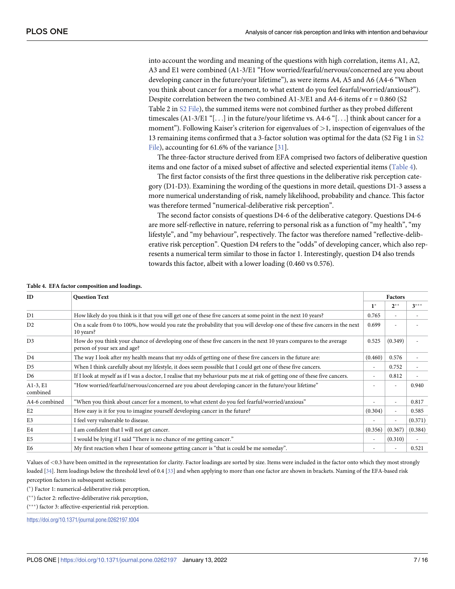<span id="page-6-0"></span>into account the wording and meaning of the questions with high correlation, items A1, A2, A3 and E1 were combined (A1-3/E1 "How worried/fearful/nervous/concerned are you about developing cancer in the future/your lifetime"), as were items A4, A5 and A6 (A4-6 "When you think about cancer for a moment, to what extent do you feel fearful/worried/anxious?"). Despite correlation between the two combined  $A1-3/E1$  and  $A4-6$  items of  $r = 0.860$  (S2) Table 2 in S2 [File](#page-12-0)), the summed items were not combined further as they probed different timescales (A1-3/E1 "[...] in the future/your lifetime vs. A4-6 "[...] think about cancer for a moment"). Following Kaiser's criterion for eigenvalues of *>*1, inspection of eigenvalues of the 13 remaining items confirmed that a 3-factor solution was optimal for the data (S2 Fig 1 in [S2](#page-12-0) [File\)](#page-12-0), accounting for 61.6% of the variance [\[31\]](#page-14-0).

The three-factor structure derived from EFA comprised two factors of deliberative question items and one factor of a mixed subset of affective and selected experiential items (Table 4).

The first factor consists of the first three questions in the deliberative risk perception category (D1-D3). Examining the wording of the questions in more detail, questions D1-3 assess a more numerical understanding of risk, namely likelihood, probability and chance. This factor was therefore termed "numerical-deliberative risk perception".

The second factor consists of questions D4-6 of the deliberative category. Questions D4-6 are more self-reflective in nature, referring to personal risk as a function of "my health", "my lifestyle", and "my behaviour", respectively. The factor was therefore named "reflective-deliberative risk perception". Question D4 refers to the "odds" of developing cancer, which also represents a numerical term similar to those in factor 1. Interestingly, question D4 also trends towards this factor, albeit with a lower loading (0.460 vs 0.576).

| ID                     | <b>Question Text</b>                                                                                                                             |                          |                          | Factors |  |  |
|------------------------|--------------------------------------------------------------------------------------------------------------------------------------------------|--------------------------|--------------------------|---------|--|--|
|                        |                                                                                                                                                  | $1^*$                    | $2^{**}$                 | $3***$  |  |  |
| D1                     | How likely do you think is it that you will get one of these five cancers at some point in the next 10 years?                                    | 0.765                    |                          |         |  |  |
| D2                     | On a scale from 0 to 100%, how would you rate the probability that you will develop one of these five cancers in the next<br>10 years?           | 0.699                    |                          |         |  |  |
| D <sub>3</sub>         | How do you think your chance of developing one of these five cancers in the next 10 years compares to the average<br>person of your sex and age? | 0.525                    | (0.349)                  |         |  |  |
| D <sub>4</sub>         | The way I look after my health means that my odds of getting one of these five cancers in the future are:                                        | (0.460)                  | 0.576                    |         |  |  |
| D <sub>5</sub>         | When I think carefully about my lifestyle, it does seem possible that I could get one of these five cancers.                                     |                          | 0.752                    |         |  |  |
| D <sub>6</sub>         | If I look at myself as if I was a doctor, I realise that my behaviour puts me at risk of getting one of these five cancers.                      | ٠                        | 0.812                    |         |  |  |
| $A1-3, E1$<br>combined | "How worried/fearful/nervous/concerned are you about developing cancer in the future/your lifetime"                                              |                          |                          | 0.940   |  |  |
| A4-6 combined          | "When you think about cancer for a moment, to what extent do you feel fearful/worried/anxious"                                                   |                          | ٠                        | 0.817   |  |  |
| E2                     | How easy is it for you to imagine yourself developing cancer in the future?                                                                      | (0.304)                  |                          | 0.585   |  |  |
| E3                     | I feel very vulnerable to disease.                                                                                                               |                          | $\overline{\phantom{a}}$ | (0.371) |  |  |
| E4                     | I am confident that I will not get cancer.                                                                                                       | (0.356)                  | (0.367)                  | (0.384) |  |  |
| E <sub>5</sub>         | I would be lying if I said "There is no chance of me getting cancer."                                                                            | $\overline{\phantom{a}}$ | (0.310)                  |         |  |  |
| E <sub>6</sub>         | My first reaction when I hear of someone getting cancer is "that is could be me someday".                                                        |                          |                          | 0.521   |  |  |

**Table 4. EFA factor composition and loadings.**

Values of *<*0.3 have been omitted in the representation for clarity. Factor loadings are sorted by size. Items were included in the factor onto which they most strongly loaded [[34\]](#page-14-0). Item loadings below the threshold level of 0.4 [[33](#page-14-0)] and when applying to more than one factor are shown in brackets. Naming of the EFA-based risk perception factors in subsequent sections:

( �) Factor 1: numerical-deliberative risk perception,

(\*\*) factor 2: reflective-deliberative risk perception,

(\*\*\*) factor 3: affective-experiential risk perception.

<https://doi.org/10.1371/journal.pone.0262197.t004>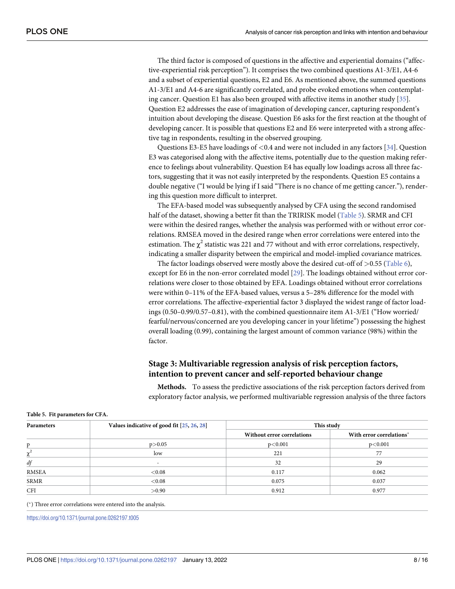<span id="page-7-0"></span>The third factor is composed of questions in the affective and experiential domains ("affective-experiential risk perception"). It comprises the two combined questions A1-3/E1, A4-6 and a subset of experiential questions, E2 and E6. As mentioned above, the summed questions A1-3/E1 and A4-6 are significantly correlated, and probe evoked emotions when contemplating cancer. Question E1 has also been grouped with affective items in another study [\[35\]](#page-14-0). Question E2 addresses the ease of imagination of developing cancer, capturing respondent's intuition about developing the disease. Question E6 asks for the first reaction at the thought of developing cancer. It is possible that questions E2 and E6 were interpreted with a strong affective tag in respondents, resulting in the observed grouping.

Questions E3-E5 have loadings of *<*0.4 and were not included in any factors [\[34\]](#page-14-0). Question E3 was categorised along with the affective items, potentially due to the question making reference to feelings about vulnerability. Question E4 has equally low loadings across all three factors, suggesting that it was not easily interpreted by the respondents. Question E5 contains a double negative ("I would be lying if I said "There is no chance of me getting cancer."), rendering this question more difficult to interpret.

The EFA-based model was subsequently analysed by CFA using the second randomised half of the dataset, showing a better fit than the TRIRISK model (Table 5). SRMR and CFI were within the desired ranges, whether the analysis was performed with or without error correlations. RMSEA moved in the desired range when error correlations were entered into the estimation. The  $\chi^2$  statistic was 221 and 77 without and with error correlations, respectively, indicating a smaller disparity between the empirical and model-implied covariance matrices.

The factor loadings observed were mostly above the desired cut-off of *>*0.55 ([Table](#page-8-0) 6), except for E6 in the non-error correlated model [[29](#page-14-0)]. The loadings obtained without error correlations were closer to those obtained by EFA. Loadings obtained without error correlations were within 0–11% of the EFA-based values, versus a 5–28% difference for the model with error correlations. The affective-experiential factor 3 displayed the widest range of factor loadings (0.50–0.99/0.57–0.81), with the combined questionnaire item A1-3/E1 ("How worried/ fearful/nervous/concerned are you developing cancer in your lifetime") possessing the highest overall loading (0.99), containing the largest amount of common variance (98%) within the factor.

### **Stage 3: Multivariable regression analysis of risk perception factors, intention to prevent cancer and self-reported behaviour change**

**Methods.** To assess the predictive associations of the risk perception factors derived from exploratory factor analysis, we performed multivariable regression analysis of the three factors

| Parameters  | Values indicative of good fit [25, 26, 28] | This study                 |                          |  |  |
|-------------|--------------------------------------------|----------------------------|--------------------------|--|--|
|             |                                            | Without error correlations | With error correlations* |  |  |
| D           | p > 0.05                                   | p<0.001                    | p<0.001                  |  |  |
| v.          | low                                        | 221                        | 77                       |  |  |
| df          | $\overline{\phantom{a}}$                   | 32                         | 29                       |  |  |
| RMSEA       | < 0.08                                     | 0.117                      | 0.062                    |  |  |
| <b>SRMR</b> | < 0.08                                     | 0.075                      | 0.037                    |  |  |
| <b>CFI</b>  | >0.90                                      | 0.912                      | 0.977                    |  |  |

**Table 5. Fit parameters for CFA.**

( �) Three error correlations were entered into the analysis.

<https://doi.org/10.1371/journal.pone.0262197.t005>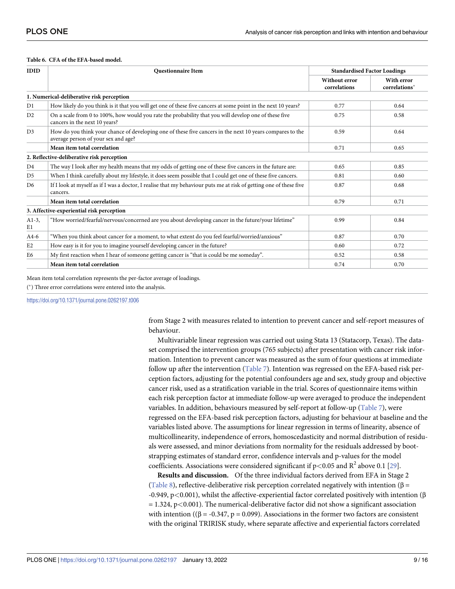#### <span id="page-8-0"></span>**[Table](#page-7-0) 6. CFA of the EFA-based model.**

| <b>IDID</b>    | <b>Questionnaire Item</b>                                                                                                                        | <b>Standardised Factor Loadings</b>  |                             |  |
|----------------|--------------------------------------------------------------------------------------------------------------------------------------------------|--------------------------------------|-----------------------------|--|
|                |                                                                                                                                                  | <b>Without error</b><br>correlations | With error<br>correlations* |  |
|                | 1. Numerical-deliberative risk perception                                                                                                        |                                      |                             |  |
| D1             | How likely do you think is it that you will get one of these five cancers at some point in the next 10 years?                                    | 0.77                                 | 0.64                        |  |
| D2             | On a scale from 0 to 100%, how would you rate the probability that you will develop one of these five<br>cancers in the next 10 years?           | 0.75                                 | 0.58                        |  |
| D <sub>3</sub> | How do you think your chance of developing one of these five cancers in the next 10 years compares to the<br>average person of your sex and age? | 0.59                                 | 0.64                        |  |
|                | Mean item total correlation                                                                                                                      | 0.71                                 | 0.65                        |  |
|                | 2. Reflective-deliberative risk perception                                                                                                       |                                      |                             |  |
| D <sub>4</sub> | The way I look after my health means that my odds of getting one of these five cancers in the future are:                                        | 0.65                                 | 0.85                        |  |
| D <sub>5</sub> | When I think carefully about my lifestyle, it does seem possible that I could get one of these five cancers.                                     | 0.81                                 | 0.60                        |  |
| D <sub>6</sub> | If I look at myself as if I was a doctor, I realise that my behaviour puts me at risk of getting one of these five<br>cancers.                   | 0.87                                 | 0.68                        |  |
|                | Mean item total correlation                                                                                                                      | 0.79                                 | 0.71                        |  |
|                | 3. Affective-experiential risk perception                                                                                                        |                                      |                             |  |
| $A1-3$ ,<br>E1 | "How worried/fearful/nervous/concerned are you about developing cancer in the future/your lifetime"                                              | 0.99                                 | 0.84                        |  |
| $A4-6$         | "When you think about cancer for a moment, to what extent do you feel fearful/worried/anxious"                                                   | 0.87                                 | 0.70                        |  |
| E2             | How easy is it for you to imagine yourself developing cancer in the future?                                                                      | 0.60                                 | 0.72                        |  |
| E6             | My first reaction when I hear of someone getting cancer is "that is could be me someday".                                                        | 0.52                                 | 0.58                        |  |
|                | Mean item total correlation                                                                                                                      | 0.74                                 | 0.70                        |  |

Mean item total correlation represents the per-factor average of loadings.

( �) Three error correlations were entered into the analysis.

<https://doi.org/10.1371/journal.pone.0262197.t006>

from Stage 2 with measures related to intention to prevent cancer and self-report measures of behaviour.

Multivariable linear regression was carried out using Stata 13 (Statacorp, Texas). The dataset comprised the intervention groups (765 subjects) after presentation with cancer risk information. Intention to prevent cancer was measured as the sum of four questions at immediate follow up after the intervention ([Table](#page-9-0) 7). Intention was regressed on the EFA-based risk perception factors, adjusting for the potential confounders age and sex, study group and objective cancer risk, used as a stratification variable in the trial. Scores of questionnaire items within each risk perception factor at immediate follow-up were averaged to produce the independent variables. In addition, behaviours measured by self-report at follow-up [\(Table](#page-9-0) 7), were regressed on the EFA-based risk perception factors, adjusting for behaviour at baseline and the variables listed above. The assumptions for linear regression in terms of linearity, absence of multicollinearity, independence of errors, homoscedasticity and normal distribution of residuals were assessed, and minor deviations from normality for the residuals addressed by bootstrapping estimates of standard error, confidence intervals and p-values for the model coefficients. Associations were considered significant if  $p < 0.05$  and  $R^2$  above 0.1 [[29](#page-14-0)].

**Results and discussion.** Of the three individual factors derived from EFA in Stage 2 [\(Table](#page-9-0) 8), reflective-deliberative risk perception correlated negatively with intention ( $\beta$  = -0.949, p*<*0.001), whilst the affective-experiential factor correlated positively with intention (β = 1.324, p*<*0.001). The numerical-deliberative factor did not show a significant association with intention (( $\beta = -0.347$ ,  $p = 0.099$ ). Associations in the former two factors are consistent with the original TRIRISK study, where separate affective and experiential factors correlated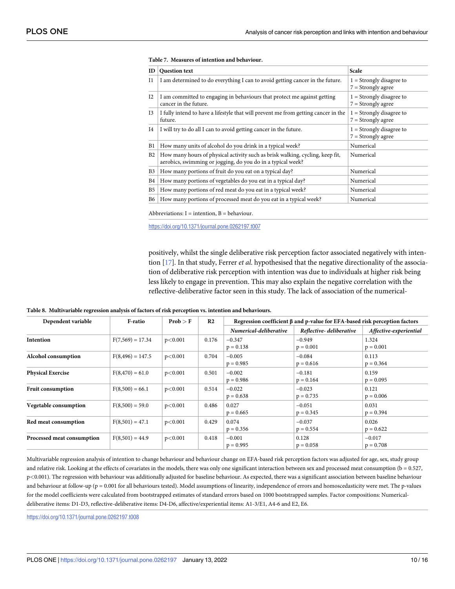| ID                    | <b>Question text</b>                                                                                                                         | Scale                                              |
|-----------------------|----------------------------------------------------------------------------------------------------------------------------------------------|----------------------------------------------------|
| H                     | I am determined to do everything I can to avoid getting cancer in the future.                                                                | $1 =$ Strongly disagree to<br>$7 =$ Strongly agree |
| I <sub>2</sub>        | I am committed to engaging in behaviours that protect me against getting<br>cancer in the future.                                            | $1 =$ Strongly disagree to<br>$7 =$ Strongly agree |
| I <sub>3</sub>        | I fully intend to have a lifestyle that will prevent me from getting cancer in the<br>future.                                                | $1 =$ Strongly disagree to<br>$7 =$ Strongly agree |
| I4                    | I will try to do all I can to avoid getting cancer in the future.                                                                            | $1 =$ Strongly disagree to<br>$7 =$ Strongly agree |
| B1                    | How many units of alcohol do you drink in a typical week?                                                                                    | Numerical                                          |
| B2                    | How many hours of physical activity such as brisk walking, cycling, keep fit,<br>aerobics, swimming or jogging, do you do in a typical week? | Numerical                                          |
| <b>B3</b>             | How many portions of fruit do you eat on a typical day?                                                                                      | Numerical                                          |
| B4                    | How many portions of vegetables do you eat in a typical day?                                                                                 | Numerical                                          |
| <b>B</b> <sub>5</sub> | How many portions of red meat do you eat in a typical week?                                                                                  | Numerical                                          |
| <b>B6</b>             | How many portions of processed meat do you eat in a typical week?                                                                            | Numerical                                          |

#### <span id="page-9-0"></span>**[Table](#page-8-0) 7. Measures of intention and behaviour.**

Abbreviations:  $I =$  intention,  $B =$  behaviour.

<https://doi.org/10.1371/journal.pone.0262197.t007>

positively, whilst the single deliberative risk perception factor associated negatively with intention [[17](#page-13-0)]. In that study, Ferrer *et al*. hypothesised that the negative directionality of the association of deliberative risk perception with intention was due to individuals at higher risk being less likely to engage in prevention. This may also explain the negative correlation with the reflective-deliberative factor seen in this study. The lack of association of the numerical-

|  |  |  |  |  | Table 8. Multivariable regression analysis of factors of risk perception vs. intention and behaviours. |
|--|--|--|--|--|--------------------------------------------------------------------------------------------------------|
|--|--|--|--|--|--------------------------------------------------------------------------------------------------------|

| Dependent variable         | <b>F-ratio</b>      | Prob > F | R <sub>2</sub> | Regression coefficient $\beta$ and p-value for EFA-based risk perception factors |                         |                         |  |
|----------------------------|---------------------|----------|----------------|----------------------------------------------------------------------------------|-------------------------|-------------------------|--|
|                            |                     |          |                | Numerical-deliberative                                                           | Reflective-deliberative | Affective-experiential  |  |
| Intention                  | $F(7,569) = 17.34$  | p<0.001  | 0.176          | $-0.347$<br>$p = 0.138$                                                          | $-0.949$<br>$p = 0.001$ | 1.324<br>$p = 0.001$    |  |
| Alcohol consumption        | $F(8, 496) = 147.5$ | p<0.001  | 0.704          | $-0.005$<br>$p = 0.985$                                                          | $-0.084$<br>$p = 0.616$ | 0.113<br>$p = 0.364$    |  |
| <b>Physical Exercise</b>   | $F(8,470) = 61.0$   | p<0.001  | 0.501          | $-0.002$<br>$p = 0.986$                                                          | $-0.181$<br>$p = 0.164$ | 0.159<br>$p = 0.095$    |  |
| <b>Fruit consumption</b>   | $F(8,500) = 66.1$   | p<0.001  | 0.514          | $-0.022$<br>$p = 0.638$                                                          | $-0.023$<br>$p = 0.735$ | 0.121<br>$p = 0.006$    |  |
| Vegetable consumption      | $F(8,500) = 59.0$   | p<0.001  | 0.486          | 0.027<br>$p = 0.665$                                                             | $-0.051$<br>$p = 0.345$ | 0.031<br>$p = 0.394$    |  |
| Red meat consumption       | $F(8,501) = 47.1$   | p<0.001  | 0.429          | 0.074<br>$p = 0.356$                                                             | $-0.037$<br>$p = 0.554$ | 0.026<br>$p = 0.622$    |  |
| Processed meat consumption | $F(8,501) = 44.9$   | p<0.001  | 0.418          | $-0.001$<br>$p = 0.995$                                                          | 0.128<br>$p = 0.058$    | $-0.017$<br>$p = 0.708$ |  |

Multivariable regression analysis of intention to change behaviour and behaviour change on EFA-based risk perception factors was adjusted for age, sex, study group and relative risk. Looking at the effects of covariates in the models, there was only one significant interaction between sex and processed meat consumption ( $b = 0.527$ , p*<*0.001). The regression with behaviour was additionally adjusted for baseline behaviour. As expected, there was a significant association between baseline behaviour and behaviour at follow-up (p = 0.001 for all behaviours tested). Model assumptions of linearity, independence of errors and homoscedasticity were met. The p-values for the model coefficients were calculated from bootstrapped estimates of standard errors based on 1000 bootstrapped samples. Factor compositions: Numericaldeliberative items: D1-D3, reflective-deliberative items: D4-D6, affective/experiential items: A1-3/E1, A4-6 and E2, E6.

<https://doi.org/10.1371/journal.pone.0262197.t008>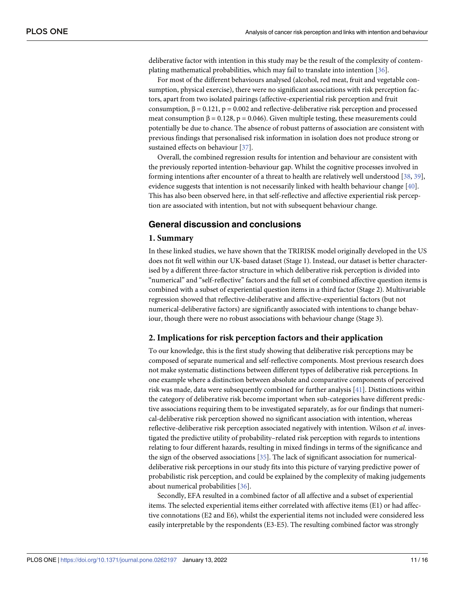<span id="page-10-0"></span>deliberative factor with intention in this study may be the result of the complexity of contemplating mathematical probabilities, which may fail to translate into intention [[36](#page-14-0)].

For most of the different behaviours analysed (alcohol, red meat, fruit and vegetable consumption, physical exercise), there were no significant associations with risk perception factors, apart from two isolated pairings (affective-experiential risk perception and fruit consumption,  $β = 0.121$ ,  $p = 0.002$  and reflective-deliberative risk perception and processed meat consumption  $β = 0.128$ ,  $p = 0.046$ ). Given multiple testing, these measurements could potentially be due to chance. The absence of robust patterns of association are consistent with previous findings that personalised risk information in isolation does not produce strong or sustained effects on behaviour [\[37\]](#page-14-0).

Overall, the combined regression results for intention and behaviour are consistent with the previously reported intention-behaviour gap. Whilst the cognitive processes involved in forming intentions after encounter of a threat to health are relatively well understood [\[38,](#page-14-0) [39\]](#page-14-0), evidence suggests that intention is not necessarily linked with health behaviour change [[40](#page-14-0)]. This has also been observed here, in that self-reflective and affective experiential risk perception are associated with intention, but not with subsequent behaviour change.

### **General discussion and conclusions**

### **1. Summary**

In these linked studies, we have shown that the TRIRISK model originally developed in the US does not fit well within our UK-based dataset (Stage 1). Instead, our dataset is better characterised by a different three-factor structure in which deliberative risk perception is divided into "numerical" and "self-reflective" factors and the full set of combined affective question items is combined with a subset of experiential question items in a third factor (Stage 2). Multivariable regression showed that reflective-deliberative and affective-experiential factors (but not numerical-deliberative factors) are significantly associated with intentions to change behaviour, though there were no robust associations with behaviour change (Stage 3).

### **2. Implications for risk perception factors and their application**

To our knowledge, this is the first study showing that deliberative risk perceptions may be composed of separate numerical and self-reflective components. Most previous research does not make systematic distinctions between different types of deliberative risk perceptions. In one example where a distinction between absolute and comparative components of perceived risk was made, data were subsequently combined for further analysis [\[41\]](#page-14-0). Distinctions within the category of deliberative risk become important when sub-categories have different predictive associations requiring them to be investigated separately, as for our findings that numerical-deliberative risk perception showed no significant association with intention, whereas reflective-deliberative risk perception associated negatively with intention. Wilson *et al*. investigated the predictive utility of probability–related risk perception with regards to intentions relating to four different hazards, resulting in mixed findings in terms of the significance and the sign of the observed associations [\[35\]](#page-14-0). The lack of significant association for numericaldeliberative risk perceptions in our study fits into this picture of varying predictive power of probabilistic risk perception, and could be explained by the complexity of making judgements about numerical probabilities [\[36\]](#page-14-0).

Secondly, EFA resulted in a combined factor of all affective and a subset of experiential items. The selected experiential items either correlated with affective items (E1) or had affective connotations (E2 and E6), whilst the experiential items not included were considered less easily interpretable by the respondents (E3-E5). The resulting combined factor was strongly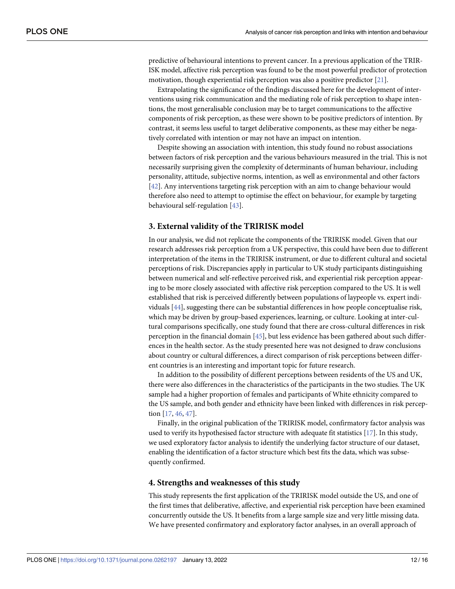<span id="page-11-0"></span>predictive of behavioural intentions to prevent cancer. In a previous application of the TRIR-ISK model, affective risk perception was found to be the most powerful predictor of protection motivation, though experiential risk perception was also a positive predictor [[21](#page-14-0)].

Extrapolating the significance of the findings discussed here for the development of interventions using risk communication and the mediating role of risk perception to shape intentions, the most generalisable conclusion may be to target communications to the affective components of risk perception, as these were shown to be positive predictors of intention. By contrast, it seems less useful to target deliberative components, as these may either be negatively correlated with intention or may not have an impact on intention.

Despite showing an association with intention, this study found no robust associations between factors of risk perception and the various behaviours measured in the trial. This is not necessarily surprising given the complexity of determinants of human behaviour, including personality, attitude, subjective norms, intention, as well as environmental and other factors [\[42\]](#page-14-0). Any interventions targeting risk perception with an aim to change behaviour would therefore also need to attempt to optimise the effect on behaviour, for example by targeting behavioural self-regulation [\[43\]](#page-15-0).

### **3. External validity of the TRIRISK model**

In our analysis, we did not replicate the components of the TRIRISK model. Given that our research addresses risk perception from a UK perspective, this could have been due to different interpretation of the items in the TRIRISK instrument, or due to different cultural and societal perceptions of risk. Discrepancies apply in particular to UK study participants distinguishing between numerical and self-reflective perceived risk, and experiential risk perception appearing to be more closely associated with affective risk perception compared to the US. It is well established that risk is perceived differently between populations of laypeople vs. expert individuals [[44](#page-15-0)], suggesting there can be substantial differences in how people conceptualise risk, which may be driven by group-based experiences, learning, or culture. Looking at inter-cultural comparisons specifically, one study found that there are cross-cultural differences in risk perception in the financial domain [[45](#page-15-0)], but less evidence has been gathered about such differences in the health sector. As the study presented here was not designed to draw conclusions about country or cultural differences, a direct comparison of risk perceptions between different countries is an interesting and important topic for future research.

In addition to the possibility of different perceptions between residents of the US and UK, there were also differences in the characteristics of the participants in the two studies. The UK sample had a higher proportion of females and participants of White ethnicity compared to the US sample, and both gender and ethnicity have been linked with differences in risk perception [[17](#page-13-0), [46](#page-15-0), [47](#page-15-0)].

Finally, in the original publication of the TRIRISK model, confirmatory factor analysis was used to verify its hypothesised factor structure with adequate fit statistics [[17](#page-13-0)]. In this study, we used exploratory factor analysis to identify the underlying factor structure of our dataset, enabling the identification of a factor structure which best fits the data, which was subsequently confirmed.

### **4. Strengths and weaknesses of this study**

This study represents the first application of the TRIRISK model outside the US, and one of the first times that deliberative, affective, and experiential risk perception have been examined concurrently outside the US. It benefits from a large sample size and very little missing data. We have presented confirmatory and exploratory factor analyses, in an overall approach of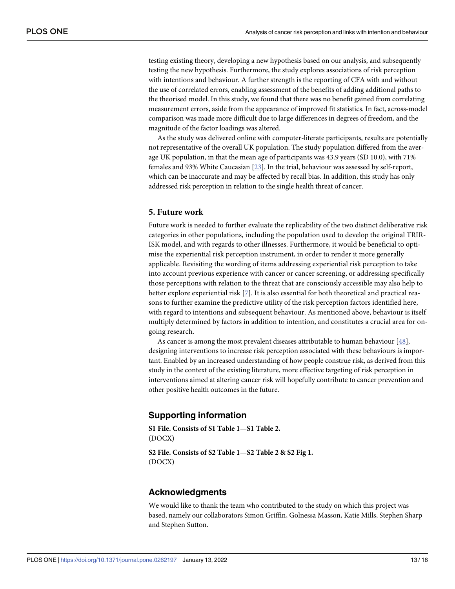<span id="page-12-0"></span>testing existing theory, developing a new hypothesis based on our analysis, and subsequently testing the new hypothesis. Furthermore, the study explores associations of risk perception with intentions and behaviour. A further strength is the reporting of CFA with and without the use of correlated errors, enabling assessment of the benefits of adding additional paths to the theorised model. In this study, we found that there was no benefit gained from correlating measurement errors, aside from the appearance of improved fit statistics. In fact, across-model comparison was made more difficult due to large differences in degrees of freedom, and the magnitude of the factor loadings was altered.

As the study was delivered online with computer-literate participants, results are potentially not representative of the overall UK population. The study population differed from the average UK population, in that the mean age of participants was 43.9 years (SD 10.0), with 71% females and 93% White Caucasian [\[23\]](#page-14-0). In the trial, behaviour was assessed by self-report, which can be inaccurate and may be affected by recall bias. In addition, this study has only addressed risk perception in relation to the single health threat of cancer.

### **5. Future work**

Future work is needed to further evaluate the replicability of the two distinct deliberative risk categories in other populations, including the population used to develop the original TRIR-ISK model, and with regards to other illnesses. Furthermore, it would be beneficial to optimise the experiential risk perception instrument, in order to render it more generally applicable. Revisiting the wording of items addressing experiential risk perception to take into account previous experience with cancer or cancer screening, or addressing specifically those perceptions with relation to the threat that are consciously accessible may also help to better explore experiential risk [\[7](#page-13-0)]. It is also essential for both theoretical and practical reasons to further examine the predictive utility of the risk perception factors identified here, with regard to intentions and subsequent behaviour. As mentioned above, behaviour is itself multiply determined by factors in addition to intention, and constitutes a crucial area for ongoing research.

As cancer is among the most prevalent diseases attributable to human behaviour [[48](#page-15-0)], designing interventions to increase risk perception associated with these behaviours is important. Enabled by an increased understanding of how people construe risk, as derived from this study in the context of the existing literature, more effective targeting of risk perception in interventions aimed at altering cancer risk will hopefully contribute to cancer prevention and other positive health outcomes in the future.

### **Supporting information**

**S1 [File.](http://www.plosone.org/article/fetchSingleRepresentation.action?uri=info:doi/10.1371/journal.pone.0262197.s001) Consists of S1 Table 1—S1 Table 2.** (DOCX)

**S2 [File.](http://www.plosone.org/article/fetchSingleRepresentation.action?uri=info:doi/10.1371/journal.pone.0262197.s002) Consists of S2 Table 1—S2 Table 2 & S2 Fig 1.** (DOCX)

### **Acknowledgments**

We would like to thank the team who contributed to the study on which this project was based, namely our collaborators Simon Griffin, Golnessa Masson, Katie Mills, Stephen Sharp and Stephen Sutton.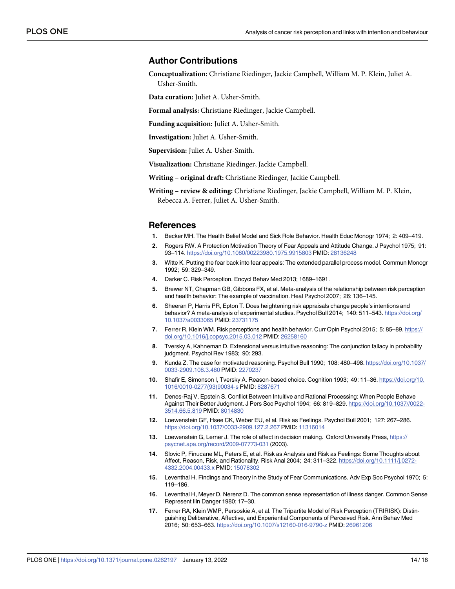### <span id="page-13-0"></span>**Author Contributions**

**Conceptualization:** Christiane Riedinger, Jackie Campbell, William M. P. Klein, Juliet A.

Usher-Smith.

**Data curation:** Juliet A. Usher-Smith.

**Formal analysis:** Christiane Riedinger, Jackie Campbell.

**Funding acquisition:** Juliet A. Usher-Smith.

**Investigation:** Juliet A. Usher-Smith.

**Supervision:** Juliet A. Usher-Smith.

**Visualization:** Christiane Riedinger, Jackie Campbell.

**Writing – original draft:** Christiane Riedinger, Jackie Campbell.

**Writing – review & editing:** Christiane Riedinger, Jackie Campbell, William M. P. Klein, Rebecca A. Ferrer, Juliet A. Usher-Smith.

### **References**

- **[1](#page-1-0).** Becker MH. The Health Belief Model and Sick Role Behavior. Health Educ Monogr 1974; 2: 409–419.
- **2.** Rogers RW. A Protection Motivation Theory of Fear Appeals and Attitude Change. J Psychol 1975; 91: 93–114. <https://doi.org/10.1080/00223980.1975.9915803> PMID: [28136248](http://www.ncbi.nlm.nih.gov/pubmed/28136248)
- **[3](#page-1-0).** Witte K. Putting the fear back into fear appeals: The extended parallel process model. Commun Monogr 1992; 59: 329–349.
- **[4](#page-1-0).** Darker C. Risk Perception. Encycl Behav Med 2013; 1689–1691.
- **[5](#page-1-0).** Brewer NT, Chapman GB, Gibbons FX, et al. Meta-analysis of the relationship between risk perception and health behavior: The example of vaccination. Heal Psychol 2007; 26: 136–145.
- **6.** Sheeran P, Harris PR, Epton T. Does heightening risk appraisals change people's intentions and behavior? A meta-analysis of experimental studies. Psychol Bull 2014; 140: 511–543. [https://doi.org/](https://doi.org/10.1037/a0033065) [10.1037/a0033065](https://doi.org/10.1037/a0033065) PMID: [23731175](http://www.ncbi.nlm.nih.gov/pubmed/23731175)
- **[7](#page-1-0).** Ferrer R, Klein WM. Risk perceptions and health behavior. Curr Opin Psychol 2015; 5: 85–89. [https://](https://doi.org/10.1016/j.copsyc.2015.03.012) [doi.org/10.1016/j.copsyc.2015.03.012](https://doi.org/10.1016/j.copsyc.2015.03.012) PMID: [26258160](http://www.ncbi.nlm.nih.gov/pubmed/26258160)
- **[8](#page-1-0).** Tversky A, Kahneman D. Extensional versus intuitive reasoning: The conjunction fallacy in probability judgment. Psychol Rev 1983; 90: 293.
- **9.** Kunda Z. The case for motivated reasoning. Psychol Bull 1990; 108: 480–498. [https://doi.org/10.1037/](https://doi.org/10.1037/0033-2909.108.3.480) [0033-2909.108.3.480](https://doi.org/10.1037/0033-2909.108.3.480) PMID: [2270237](http://www.ncbi.nlm.nih.gov/pubmed/2270237)
- **10.** Shafir E, Simonson I, Tversky A. Reason-based choice. Cognition 1993; 49: 11–36. [https://doi.org/10.](https://doi.org/10.1016/0010-0277%2893%2990034-s) [1016/0010-0277\(93\)90034-s](https://doi.org/10.1016/0010-0277%2893%2990034-s) PMID: [8287671](http://www.ncbi.nlm.nih.gov/pubmed/8287671)
- **[11](#page-1-0).** Denes-Raj V, Epstein S. Conflict Between Intuitive and Rational Processing: When People Behave Against Their Better Judgment. J Pers Soc Psychol 1994; 66: 819–829. [https://doi.org/10.1037//0022-](https://doi.org/10.1037//0022-3514.66.5.819) [3514.66.5.819](https://doi.org/10.1037//0022-3514.66.5.819) PMID: [8014830](http://www.ncbi.nlm.nih.gov/pubmed/8014830)
- **[12](#page-1-0).** Loewenstein GF, Hsee CK, Weber EU, et al. Risk as Feelings. Psychol Bull 2001; 127: 267–286. <https://doi.org/10.1037/0033-2909.127.2.267> PMID: [11316014](http://www.ncbi.nlm.nih.gov/pubmed/11316014)
- **13.** Loewenstein G, Lerner J. The role of affect in decision making. Oxford University Press, [https://](https://psycnet.apa.org/record/2009-07773-031) [psycnet.apa.org/record/2009-07773-031](https://psycnet.apa.org/record/2009-07773-031) (2003).
- **[14](#page-1-0).** Slovic P, Finucane ML, Peters E, et al. Risk as Analysis and Risk as Feelings: Some Thoughts about Affect, Reason, Risk, and Rationality. Risk Anal 2004; 24: 311–322. [https://doi.org/10.1111/j.0272-](https://doi.org/10.1111/j.0272-4332.2004.00433.x) [4332.2004.00433.x](https://doi.org/10.1111/j.0272-4332.2004.00433.x) PMID: [15078302](http://www.ncbi.nlm.nih.gov/pubmed/15078302)
- **[15](#page-1-0).** Leventhal H. Findings and Theory in the Study of Fear Communications. Adv Exp Soc Psychol 1970; 5: 119–186.
- **[16](#page-1-0).** Leventhal H, Meyer D, Nerenz D. The common sense representation of illness danger. Common Sense Represent Illn Danger 1980; 17–30.
- **[17](#page-1-0).** Ferrer RA, Klein WMP, Persoskie A, et al. The Tripartite Model of Risk Perception (TRIRISK): Distinguishing Deliberative, Affective, and Experiential Components of Perceived Risk. Ann Behav Med 2016; 50: 653–663. <https://doi.org/10.1007/s12160-016-9790-z> PMID: [26961206](http://www.ncbi.nlm.nih.gov/pubmed/26961206)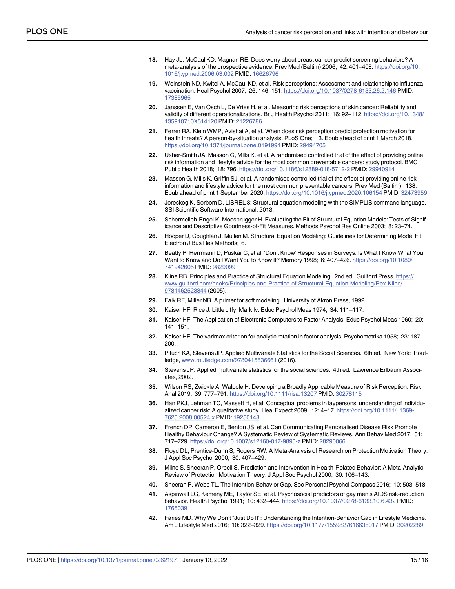- <span id="page-14-0"></span>**18.** Hay JL, McCaul KD, Magnan RE. Does worry about breast cancer predict screening behaviors? A meta-analysis of the prospective evidence. Prev Med (Baltim) 2006; 42: 401–408. [https://doi.org/10.](https://doi.org/10.1016/j.ypmed.2006.03.002) [1016/j.ypmed.2006.03.002](https://doi.org/10.1016/j.ypmed.2006.03.002) PMID: [16626796](http://www.ncbi.nlm.nih.gov/pubmed/16626796)
- **19.** Weinstein ND, Kwitel A, McCaul KD, et al. Risk perceptions: Assessment and relationship to influenza vaccination. Heal Psychol 2007; 26: 146–151. <https://doi.org/10.1037/0278-6133.26.2.146> PMID: [17385965](http://www.ncbi.nlm.nih.gov/pubmed/17385965)
- **[20](#page-1-0).** Janssen E, Van Osch L, De Vries H, et al. Measuring risk perceptions of skin cancer: Reliability and validity of different operationalizations. Br J Health Psychol 2011; 16: 92-112. [https://doi.org/10.1348/](https://doi.org/10.1348/135910710X514120) [135910710X514120](https://doi.org/10.1348/135910710X514120) PMID: [21226786](http://www.ncbi.nlm.nih.gov/pubmed/21226786)
- **[21](#page-1-0).** Ferrer RA, Klein WMP, Avishai A, et al. When does risk perception predict protection motivation for health threats? A person-by-situation analysis. PLoS One; 13. Epub ahead of print 1 March 2018. <https://doi.org/10.1371/journal.pone.0191994> PMID: [29494705](http://www.ncbi.nlm.nih.gov/pubmed/29494705)
- **[22](#page-1-0).** Usher-Smith JA, Masson G, Mills K, et al. A randomised controlled trial of the effect of providing online risk information and lifestyle advice for the most common preventable cancers: study protocol. BMC Public Health 2018; 18: 796. <https://doi.org/10.1186/s12889-018-5712-2> PMID: [29940914](http://www.ncbi.nlm.nih.gov/pubmed/29940914)
- **[23](#page-1-0).** Masson G, Mills K, Griffin SJ, et al. A randomised controlled trial of the effect of providing online risk information and lifestyle advice for the most common preventable cancers. Prev Med (Baltim); 138. Epub ahead of print 1 September 2020. <https://doi.org/10.1016/j.ypmed.2020.106154> PMID: [32473959](http://www.ncbi.nlm.nih.gov/pubmed/32473959)
- **[24](#page-2-0).** Joreskog K, Sorbom D. LISREL 8: Structural equation modeling with the SIMPLIS command language. SSI Scientific Software International, 2013.
- **[25](#page-2-0).** Schermelleh-Engel K, Moosbrugger H. Evaluating the Fit of Structural Equation Models: Tests of Significance and Descriptive Goodness-of-Fit Measures. Methods Psychol Res Online 2003; 8: 23–74.
- **[26](#page-2-0).** Hooper D, Coughlan J, Mullen M. Structural Equation Modeling: Guidelines for Determining Model Fit. Electron J Bus Res Methods; 6.
- **[27](#page-3-0).** Beatty P, Herrmann D, Puskar C, et al. 'Don't Know' Responses in Surveys: Is What I Know What You Want to Know and Do I Want You to Know It? Memory 1998; 6: 407–426. [https://doi.org/10.1080/](https://doi.org/10.1080/741942605) [741942605](https://doi.org/10.1080/741942605) PMID: [9829099](http://www.ncbi.nlm.nih.gov/pubmed/9829099)
- **[28](#page-4-0).** Kline RB. Principles and Practice of Structural Equation Modeling. 2nd ed. Guilford Press, [https://](https://www.guilford.com/books/Principles-and-Practice-of-Structural-Equation-Modeling/Rex-Kline/9781462523344) [www.guilford.com/books/Principles-and-Practice-of-Structural-Equation-Modeling/Rex-Kline/](https://www.guilford.com/books/Principles-and-Practice-of-Structural-Equation-Modeling/Rex-Kline/9781462523344) [9781462523344](https://www.guilford.com/books/Principles-and-Practice-of-Structural-Equation-Modeling/Rex-Kline/9781462523344) (2005).
- **[29](#page-4-0).** Falk RF, Miller NB. A primer for soft modeling. University of Akron Press, 1992.
- **[30](#page-4-0).** Kaiser HF, Rice J. Little Jiffy, Mark Iv. Educ Psychol Meas 1974; 34: 111–117.
- **[31](#page-4-0).** Kaiser HF. The Application of Electronic Computers to Factor Analysis. Educ Psychol Meas 1960; 20: 141–151.
- **[32](#page-5-0).** Kaiser HF. The varimax criterion for analytic rotation in factor analysis. Psychometrika 1958; 23: 187– 200.
- **[33](#page-5-0).** Pituch KA, Stevens JP. Applied Multivariate Statistics for the Social Sciences. 6th ed. New York: Routledge, [www.routledge.com/9780415836661](http://www.routledge.com/9780415836661) (2016).
- **[34](#page-6-0).** Stevens JP. Applied multivariate statistics for the social sciences. 4th ed. Lawrence Erlbaum Associates, 2002.
- **[35](#page-7-0).** Wilson RS, Zwickle A, Walpole H. Developing a Broadly Applicable Measure of Risk Perception. Risk Anal 2019; 39: 777–791. <https://doi.org/10.1111/risa.13207> PMID: [30278115](http://www.ncbi.nlm.nih.gov/pubmed/30278115)
- **[36](#page-10-0).** Han PKJ, Lehman TC, Massett H, et al. Conceptual problems in laypersons' understanding of individualized cancer risk: A qualitative study. Heal Expect 2009; 12: 4–17. [https://doi.org/10.1111/j.1369-](https://doi.org/10.1111/j.1369-7625.2008.00524.x) [7625.2008.00524.x](https://doi.org/10.1111/j.1369-7625.2008.00524.x) PMID: [19250148](http://www.ncbi.nlm.nih.gov/pubmed/19250148)
- **[37](#page-10-0).** French DP, Cameron E, Benton JS, et al. Can Communicating Personalised Disease Risk Promote Healthy Behaviour Change? A Systematic Review of Systematic Reviews. Ann Behav Med 2017; 51: 717–729. <https://doi.org/10.1007/s12160-017-9895-z> PMID: [28290066](http://www.ncbi.nlm.nih.gov/pubmed/28290066)
- **[38](#page-10-0).** Floyd DL, Prentice-Dunn S, Rogers RW. A Meta-Analysis of Research on Protection Motivation Theory. J Appl Soc Psychol 2000; 30: 407–429.
- **[39](#page-10-0).** Milne S, Sheeran P, Orbell S. Prediction and Intervention in Health-Related Behavior: A Meta-Analytic Review of Protection Motivation Theory. J Appl Soc Psychol 2000; 30: 106–143.
- **[40](#page-10-0).** Sheeran P, Webb TL. The Intention-Behavior Gap. Soc Personal Psychol Compass 2016; 10: 503–518.
- **[41](#page-10-0).** Aspinwall LG, Kemeny ME, Taylor SE, et al. Psychosocial predictors of gay men's AIDS risk-reduction behavior. Health Psychol 1991; 10: 432–444. <https://doi.org/10.1037//0278-6133.10.6.432> PMID: [1765039](http://www.ncbi.nlm.nih.gov/pubmed/1765039)
- **[42](#page-11-0).** Faries MD. Why We Don't "Just Do It": Understanding the Intention-Behavior Gap in Lifestyle Medicine. Am J Lifestyle Med 2016; 10: 322–329. <https://doi.org/10.1177/1559827616638017> PMID: [30202289](http://www.ncbi.nlm.nih.gov/pubmed/30202289)